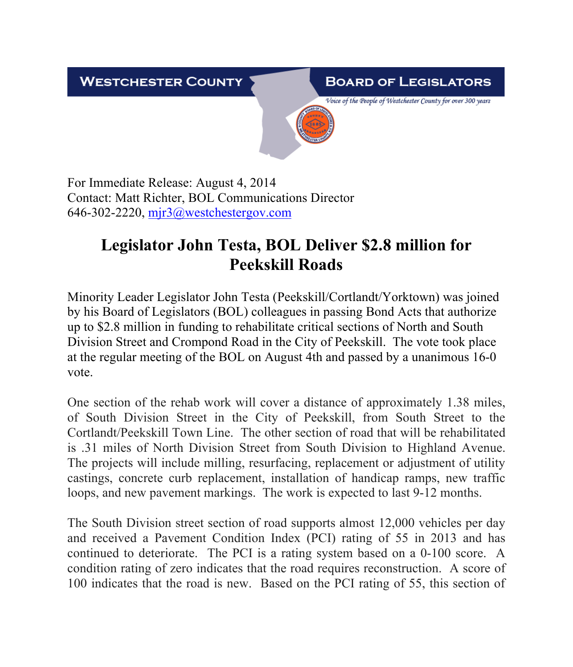**WESTCHESTER COUNTY** 

## **BOARD OF LEGISLATORS**

Voice of the People of Westchester County for over 300 years

For Immediate Release: August 4, 2014 Contact: Matt Richter, BOL Communications Director 646-302-2220,  $mjr3@$  west chestergov.com

## **Legislator John Testa, BOL Deliver \$2.8 million for Peekskill Roads**

Minority Leader Legislator John Testa (Peekskill/Cortlandt/Yorktown) was joined by his Board of Legislators (BOL) colleagues in passing Bond Acts that authorize up to \$2.8 million in funding to rehabilitate critical sections of North and South Division Street and Crompond Road in the City of Peekskill. The vote took place at the regular meeting of the BOL on August 4th and passed by a unanimous 16-0 vote.

One section of the rehab work will cover a distance of approximately 1.38 miles, of South Division Street in the City of Peekskill, from South Street to the Cortlandt/Peekskill Town Line. The other section of road that will be rehabilitated is .31 miles of North Division Street from South Division to Highland Avenue. The projects will include milling, resurfacing, replacement or adjustment of utility castings, concrete curb replacement, installation of handicap ramps, new traffic loops, and new pavement markings. The work is expected to last 9-12 months.

The South Division street section of road supports almost 12,000 vehicles per day and received a Pavement Condition Index (PCI) rating of 55 in 2013 and has continued to deteriorate. The PCI is a rating system based on a 0-100 score. A condition rating of zero indicates that the road requires reconstruction. A score of 100 indicates that the road is new. Based on the PCI rating of 55, this section of